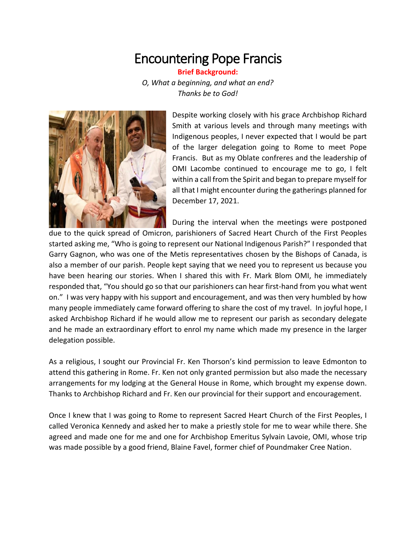## Encountering Pope Francis

**Brief Background:** *O, What a beginning, and what an end? Thanks be to God!*



Despite working closely with his grace Archbishop Richard Smith at various levels and through many meetings with Indigenous peoples, I never expected that I would be part of the larger delegation going to Rome to meet Pope Francis. But as my Oblate confreres and the leadership of OMI Lacombe continued to encourage me to go, I felt within a call from the Spirit and began to prepare myself for all that I might encounter during the gatherings planned for December 17, 2021.

During the interval when the meetings were postponed

due to the quick spread of Omicron, parishioners of Sacred Heart Church of the First Peoples started asking me, "Who is going to represent our National Indigenous Parish?" I responded that Garry Gagnon, who was one of the Metis representatives chosen by the Bishops of Canada, is also a member of our parish. People kept saying that we need you to represent us because you have been hearing our stories. When I shared this with Fr. Mark Blom OMI, he immediately responded that, "You should go so that our parishioners can hear first-hand from you what went on." I was very happy with his support and encouragement, and was then very humbled by how many people immediately came forward offering to share the cost of my travel. In joyful hope, I asked Archbishop Richard if he would allow me to represent our parish as secondary delegate and he made an extraordinary effort to enrol my name which made my presence in the larger delegation possible.

As a religious, I sought our Provincial Fr. Ken Thorson's kind permission to leave Edmonton to attend this gathering in Rome. Fr. Ken not only granted permission but also made the necessary arrangements for my lodging at the General House in Rome, which brought my expense down. Thanks to Archbishop Richard and Fr. Ken our provincial for their support and encouragement.

Once I knew that I was going to Rome to represent Sacred Heart Church of the First Peoples, I called Veronica Kennedy and asked her to make a priestly stole for me to wear while there. She agreed and made one for me and one for Archbishop Emeritus Sylvain Lavoie, OMI, whose trip was made possible by a good friend, Blaine Favel, former chief of Poundmaker Cree Nation.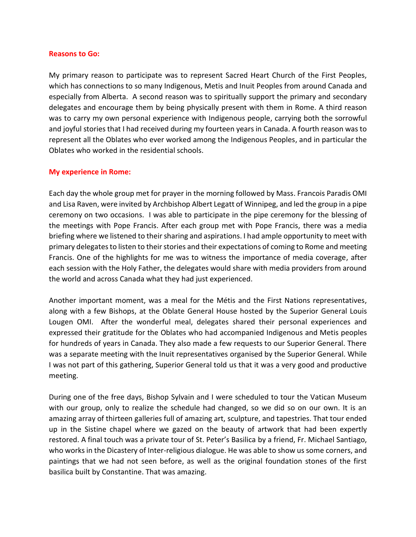## **Reasons to Go:**

My primary reason to participate was to represent Sacred Heart Church of the First Peoples, which has connections to so many Indigenous, Metis and Inuit Peoples from around Canada and especially from Alberta. A second reason was to spiritually support the primary and secondary delegates and encourage them by being physically present with them in Rome. A third reason was to carry my own personal experience with Indigenous people, carrying both the sorrowful and joyful stories that I had received during my fourteen years in Canada. A fourth reason was to represent all the Oblates who ever worked among the Indigenous Peoples, and in particular the Oblates who worked in the residential schools.

## **My experience in Rome:**

Each day the whole group met for prayer in the morning followed by Mass. Francois Paradis OMI and Lisa Raven, were invited by Archbishop Albert Legatt of Winnipeg, and led the group in a pipe ceremony on two occasions. I was able to participate in the pipe ceremony for the blessing of the meetings with Pope Francis. After each group met with Pope Francis, there was a media briefing where we listened to their sharing and aspirations. I had ample opportunity to meet with primary delegates to listen to their stories and their expectations of coming to Rome and meeting Francis. One of the highlights for me was to witness the importance of media coverage, after each session with the Holy Father, the delegates would share with media providers from around the world and across Canada what they had just experienced.

Another important moment, was a meal for the Métis and the First Nations representatives, along with a few Bishops, at the Oblate General House hosted by the Superior General Louis Lougen OMI. After the wonderful meal, delegates shared their personal experiences and expressed their gratitude for the Oblates who had accompanied Indigenous and Metis peoples for hundreds of years in Canada. They also made a few requests to our Superior General. There was a separate meeting with the Inuit representatives organised by the Superior General. While I was not part of this gathering, Superior General told us that it was a very good and productive meeting.

During one of the free days, Bishop Sylvain and I were scheduled to tour the Vatican Museum with our group, only to realize the schedule had changed, so we did so on our own. It is an amazing array of thirteen galleries full of amazing art, sculpture, and tapestries. That tour ended up in the Sistine chapel where we gazed on the beauty of artwork that had been expertly restored. A final touch was a private tour of St. Peter's Basilica by a friend, Fr. Michael Santiago, who works in the Dicastery of Inter-religious dialogue. He was able to show us some corners, and paintings that we had not seen before, as well as the original foundation stones of the first basilica built by Constantine. That was amazing.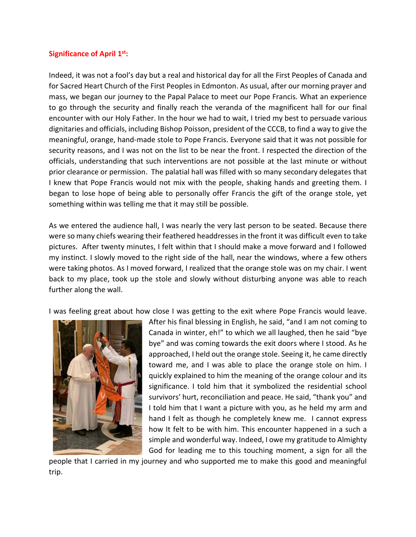## **Significance of April 1st:**

Indeed, it was not a fool's day but a real and historical day for all the First Peoples of Canada and for Sacred Heart Church of the First Peoples in Edmonton. As usual, after our morning prayer and mass, we began our journey to the Papal Palace to meet our Pope Francis. What an experience to go through the security and finally reach the veranda of the magnificent hall for our final encounter with our Holy Father. In the hour we had to wait, I tried my best to persuade various dignitaries and officials, including Bishop Poisson, president of the CCCB, to find a way to give the meaningful, orange, hand-made stole to Pope Francis. Everyone said that it was not possible for security reasons, and I was not on the list to be near the front. I respected the direction of the officials, understanding that such interventions are not possible at the last minute or without prior clearance or permission. The palatial hall was filled with so many secondary delegates that I knew that Pope Francis would not mix with the people, shaking hands and greeting them. I began to lose hope of being able to personally offer Francis the gift of the orange stole, yet something within was telling me that it may still be possible.

As we entered the audience hall, I was nearly the very last person to be seated. Because there were so many chiefs wearing their feathered headdresses in the front it was difficult even to take pictures. After twenty minutes, I felt within that I should make a move forward and I followed my instinct. I slowly moved to the right side of the hall, near the windows, where a few others were taking photos. As I moved forward, I realized that the orange stole was on my chair. I went back to my place, took up the stole and slowly without disturbing anyone was able to reach further along the wall.

I was feeling great about how close I was getting to the exit where Pope Francis would leave.



After his final blessing in English, he said, "and I am not coming to Canada in winter, eh!" to which we all laughed, then he said "bye bye" and was coming towards the exit doors where I stood. As he approached, I held out the orange stole. Seeing it, he came directly toward me, and I was able to place the orange stole on him. I quickly explained to him the meaning of the orange colour and its significance. I told him that it symbolized the residential school survivors' hurt, reconciliation and peace. He said, "thank you" and I told him that I want a picture with you, as he held my arm and hand I felt as though he completely knew me. I cannot express how It felt to be with him. This encounter happened in a such a simple and wonderful way. Indeed, I owe my gratitude to Almighty God for leading me to this touching moment, a sign for all the

people that I carried in my journey and who supported me to make this good and meaningful trip.